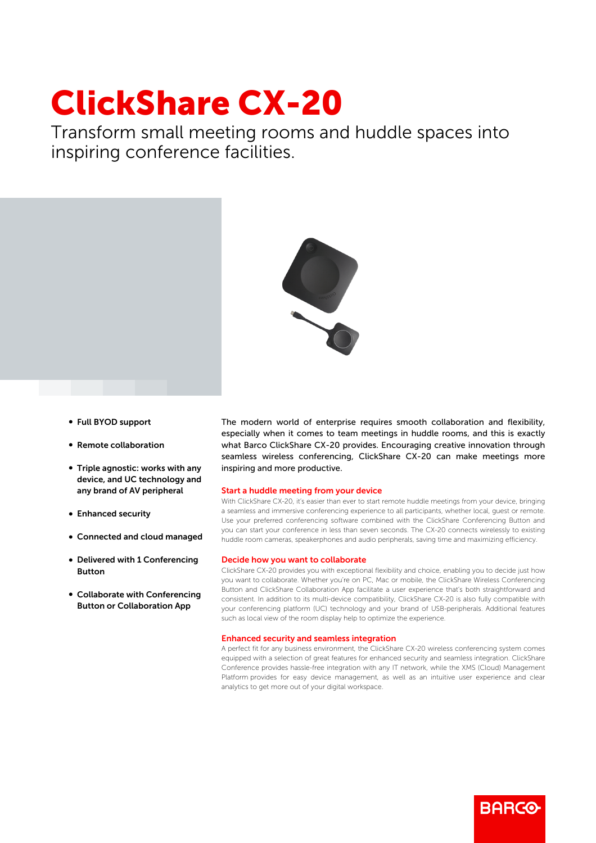# ClickShare CX-20

Transform small meeting rooms and huddle spaces into inspiring conference facilities.



- b Full BYOD support
- **Remote collaboration**
- $\bullet$  Triple agnostic: works with any device, and UC technology and any brand of AV peripheral
- Enhanced security
- b Connected and cloud managed
- Delivered with 1 Conferencing Button
- Collaborate with Conferencing Button or Collaboration App

The modern world of enterprise requires smooth collaboration and flexibility, especially when it comes to team meetings in huddle rooms, and this is exactly what Barco ClickShare CX-20 provides. Encouraging creative innovation through seamless wireless conferencing, ClickShare CX-20 can make meetings more inspiring and more productive.

#### Start a huddle meeting from your device

With ClickShare CX-20, it's easier than ever to start remote huddle meetings from your device, bringing a seamless and immersive conferencing experience to all participants, whether local, guest or remote. Use your preferred conferencing software combined with the ClickShare Conferencing Button and you can start your conference in less than seven seconds. The CX-20 connects wirelessly to existing huddle room cameras, speakerphones and audio peripherals, saving time and maximizing efficiency.

#### Decide how you want to collaborate

ClickShare CX-20 provides you with exceptional flexibility and choice, enabling you to decide just how you want to collaborate. Whether you're on PC, Mac or mobile, the ClickShare Wireless Conferencing Button and ClickShare Collaboration App facilitate a user experience that's both straightforward and consistent. In addition to its multi-device compatibility, ClickShare CX-20 is also fully compatible with your conferencing platform (UC) technology and your brand of USB-peripherals. Additional features such as local view of the room display help to optimize the experience.

### Enhanced security and seamless integration

A perfect fit for any business environment, the ClickShare CX-20 wireless conferencing system comes equipped with a selection of great features for enhanced security and seamless integration. ClickShare Conference provides hassle-free integration with any IT network, while the XMS (Cloud) Management Platform provides for easy device management, as well as an intuitive user experience and clear analytics to get more out of your digital workspace.

RARGO